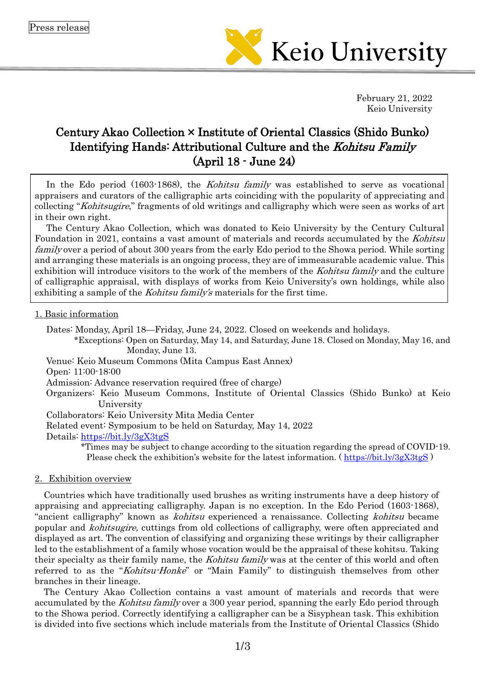

February 21, 2022 Keio University

# Century Akao Collection × Institute of Oriental Classics (Shido Bunko) Identifying Hands: Attributional Culture and the *Kohitsu Family* (April 18 - June 24)

In the Edo period (1603-1868), the *Kohitsu family* was established to serve as vocational appraisers and curators of the calligraphic arts coinciding with the popularity of appreciating and collecting "Kohitsugire," fragments of old writings and calligraphy which were seen as works of art in their own right.

The Century Akao Collection, which was donated to Keio University by the Century Cultural Foundation in 2021, contains a vast amount of materials and records accumulated by the Kohitsu family over a period of about 300 years from the early Edo period to the Showa period. While sorting and arranging these materials is an ongoing process, they are of immeasurable academic value. This exhibition will introduce visitors to the work of the members of the Kohitsu family and the culture of calligraphic appraisal, with displays of works from Keio University's own holdings, while also exhibiting a sample of the *Kohitsu family's* materials for the first time.

### 1. Basic information

Dates: Monday, April 18—Friday, June 24, 2022. Closed on weekends and holidays.

\*Exceptions: Open on Saturday, May 14, and Saturday, June 18. Closed on Monday, May 16, and Monday, June 13.

Venue: Keio Museum Commons (Mita Campus East Annex)

Open: 11:00-18:00

Admission: Advance reservation required (free of charge)

Organizers: Keio Museum Commons, Institute of Oriental Classics (Shido Bunko) at Keio University

Collaborators: Keio University Mita Media Center

Related event: Symposium to be held on Saturday, May 14, 2022

Details: <https://bit.ly/3gX3tgS>

\*Times may be subject to change according to the situation regarding the spread of COVID-19. Please check the exhibition's website for the latest information. ( $\frac{https://bit.ly/3gX3tgS}{https://bit.ly/3gX3tgS}$  $\frac{https://bit.ly/3gX3tgS}{https://bit.ly/3gX3tgS}$  $\frac{https://bit.ly/3gX3tgS}{https://bit.ly/3gX3tgS}$ )

### 2.Exhibition overview

Countries which have traditionally used brushes as writing instruments have a deep history of appraising and appreciating calligraphy. Japan is no exception. In the Edo Period (1603-1868), "ancient calligraphy" known as kohitsu experienced a renaissance. Collecting kohitsu became popular and kohitsugire, cuttings from old collections of calligraphy, were often appreciated and displayed as art. The convention of classifying and organizing these writings by their calligrapher led to the establishment of a family whose vocation would be the appraisal of these kohitsu. Taking their specialty as their family name, the *Kohitsu family* was at the center of this world and often referred to as the "Kohitsu-Honke" or "Main Family" to distinguish themselves from other branches in their lineage.

The Century Akao Collection contains a vast amount of materials and records that were accumulated by the *Kohitsu family* over a 300 year period, spanning the early Edo period through to the Showa period. Correctly identifying a calligrapher can be a Sisyphean task. This exhibition is divided into five sections which include materials from the Institute of Oriental Classics (Shido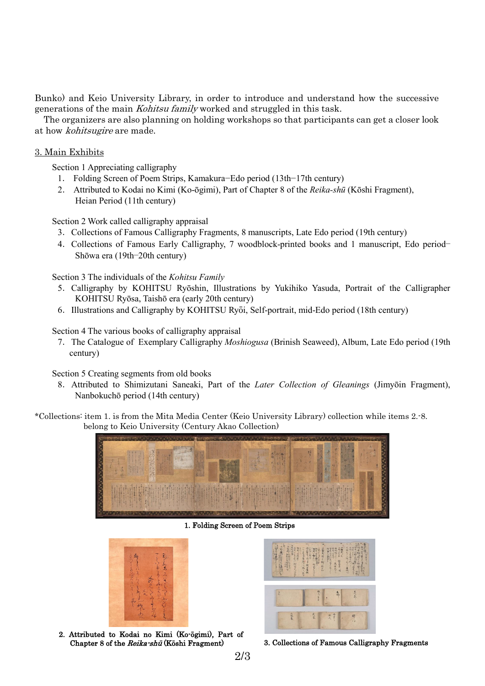Bunko) and Keio University Library, in order to introduce and understand how the successive generations of the main Kohitsu family worked and struggled in this task.

The organizers are also planning on holding workshops so that participants can get a closer look at how kohitsugire are made.

## 3. Main Exhibits

Section 1 Appreciating calligraphy

- 1. Folding Screen of Poem Strips, Kamakura−Edo period (13th−17th century)
- 2. Attributed to Kodai no Kimi (Ko-ōgimi), Part of Chapter 8 of the *Reika-shū* (Kōshi Fragment), Heian Period (11th century)

Section 2 Work called calligraphy appraisal

- 3.Collections of Famous Calligraphy Fragments, 8 manuscripts, Late Edo period (19th century)
- 4.Collections of Famous Early Calligraphy, 7 woodblock-printed books and 1 manuscript, Edo period− Shōwa era (19th−20th century)

Section 3 The individuals of the *Kohitsu Family*

- 5.Calligraphy by KOHITSU Ryōshin, Illustrations by Yukihiko Yasuda, Portrait of the Calligrapher KOHITSU Ryōsa, Taishō era (early 20th century)
- 6.Illustrations and Calligraphy by KOHITSU Ryōi, Self-portrait, mid-Edo period (18th century)

Section 4 The various books of calligraphy appraisal

7.The Catalogue of Exemplary Calligraphy *Moshiogusa* (Brinish Seaweed), Album, Late Edo period (19th century)

Section 5 Creating segments from old books

8.Attributed to Shimizutani Saneaki, Part of the *Later Collection of Gleanings* (Jimyōin Fragment), Nanbokuchō period (14th century)

\*Collections: item 1. is from the Mita Media Center (Keio University Library) collection while items 2.-8. belong to Keio University (Century Akao Collection)



1. Folding Screen of Poem Strips



2. Attributed to Kodai no Kimi (Ko-ōgimi), Part of Chapter 8 of the Reika-shū (Kōshi Fragment) 3. Collections of Famous Calligraphy Fragments